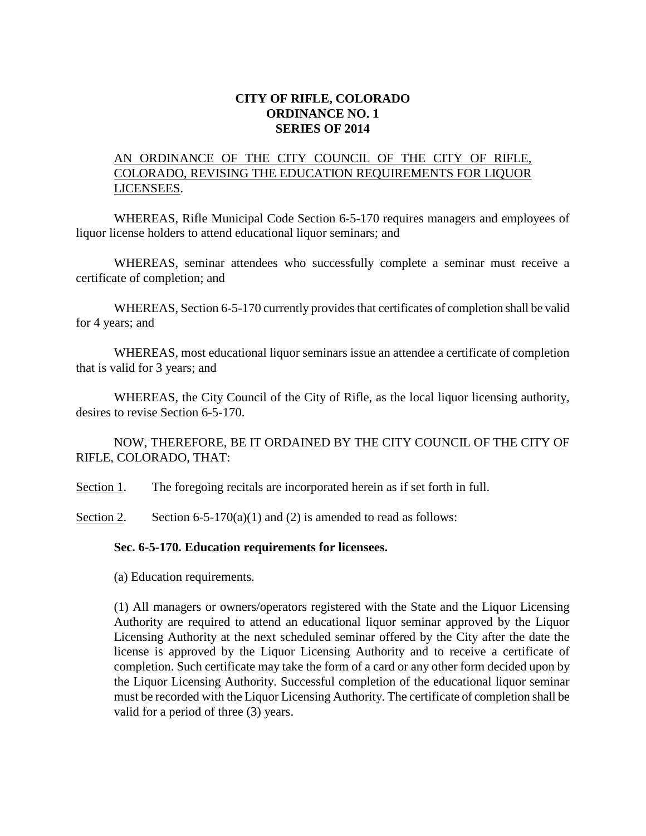## **CITY OF RIFLE, COLORADO ORDINANCE NO. 1 SERIES OF 2014**

## AN ORDINANCE OF THE CITY COUNCIL OF THE CITY OF RIFLE, COLORADO, REVISING THE EDUCATION REQUIREMENTS FOR LIQUOR LICENSEES.

WHEREAS, Rifle Municipal Code Section 6-5-170 requires managers and employees of liquor license holders to attend educational liquor seminars; and

WHEREAS, seminar attendees who successfully complete a seminar must receive a certificate of completion; and

WHEREAS, Section 6-5-170 currently provides that certificates of completion shall be valid for 4 years; and

WHEREAS, most educational liquor seminars issue an attendee a certificate of completion that is valid for 3 years; and

WHEREAS, the City Council of the City of Rifle, as the local liquor licensing authority, desires to revise Section 6-5-170.

NOW, THEREFORE, BE IT ORDAINED BY THE CITY COUNCIL OF THE CITY OF RIFLE, COLORADO, THAT:

Section 1. The foregoing recitals are incorporated herein as if set forth in full.

Section 2. Section 6-5-170(a)(1) and (2) is amended to read as follows:

## **Sec. 6-5-170. Education requirements for licensees.**

(a) Education requirements.

(1) All managers or owners/operators registered with the State and the Liquor Licensing Authority are required to attend an educational liquor seminar approved by the Liquor Licensing Authority at the next scheduled seminar offered by the City after the date the license is approved by the Liquor Licensing Authority and to receive a certificate of completion. Such certificate may take the form of a card or any other form decided upon by the Liquor Licensing Authority. Successful completion of the educational liquor seminar must be recorded with the Liquor Licensing Authority. The certificate of completion shall be valid for a period of three (3) years.